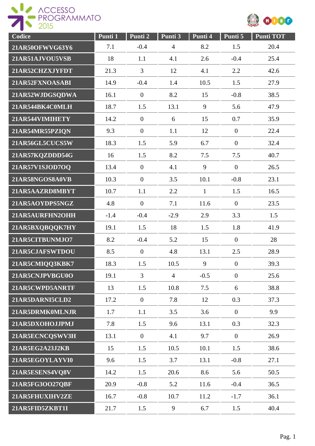



| Codice          | Punti 1 | Punti 2          | Punti 3        | Punti 4      | Punti 5          | <b>Punti TOT</b> |
|-----------------|---------|------------------|----------------|--------------|------------------|------------------|
| 21AR50OFWVG63Y6 | 7.1     | $-0.4$           | $\overline{4}$ | 8.2          | 1.5              | 20.4             |
| 21AR51AJVOU5VSB | 18      | 1.1              | 4.1            | 2.6          | $-0.4$           | 25.4             |
| 21AR52CHZXJYFDT | 21.3    | 3                | 12             | 4.1          | 2.2              | 42.6             |
| 21AR52FXNOASABI | 14.9    | $-0.4$           | 1.4            | 10.5         | 1.5              | 27.9             |
| 21AR52WJDGSQDWA | 16.1    | $\overline{0}$   | 8.2            | 15           | $-0.8$           | 38.5             |
| 21AR544BK4C0MLH | 18.7    | 1.5              | 13.1           | 9            | 5.6              | 47.9             |
| 21AR544VIMIHETY | 14.2    | $\overline{0}$   | 6              | 15           | 0.7              | 35.9             |
| 21AR54MR55PZIQN | 9.3     | $\overline{0}$   | 1.1            | 12           | $\overline{0}$   | 22.4             |
| 21AR56GL5CUCS5W | 18.3    | 1.5              | 5.9            | 6.7          | $\overline{0}$   | 32.4             |
| 21AR57KQZDDD54G | 16      | 1.5              | 8.2            | 7.5          | 7.5              | 40.7             |
| 21AR57V1SJOD7OQ | 13.4    | $\overline{0}$   | 4.1            | 9            | $\overline{0}$   | 26.5             |
| 21AR58NGOS8A0VB | 10.3    | $\boldsymbol{0}$ | 3.5            | 10.1         | $-0.8$           | 23.1             |
| 21AR5AAZRD8MBYT | 10.7    | 1.1              | 2.2            | $\mathbf{1}$ | 1.5              | 16.5             |
| 21AR5AOYDPS5NGZ | 4.8     | $\boldsymbol{0}$ | 7.1            | 11.6         | $\overline{0}$   | 23.5             |
| 21AR5AURFHN2OHH | $-1.4$  | $-0.4$           | $-2.9$         | 2.9          | 3.3              | 1.5              |
| 21AR5BXQBQQK7HY | 19.1    | 1.5              | 18             | 1.5          | 1.8              | 41.9             |
| 21AR5CITBUNMJO7 | 8.2     | $-0.4$           | 5.2            | 15           | $\overline{0}$   | 28               |
| 21AR5CJAFSWTDOU | 8.5     | $\mathbf{0}$     | 4.8            | 13.1         | 2.5              | 28.9             |
| 21AR5CMIQQ3KBK7 | 18.3    | 1.5              | 10.5           | 9            | $\boldsymbol{0}$ | 39.3             |
| 21AR5CNJPVBGU0O | 19.1    | 3                | $\overline{4}$ | $-0.5$       | $\overline{0}$   | 25.6             |
| 21AR5CWPD5ANRTF | 13      | 1.5              | 10.8           | 7.5          | 6                | 38.8             |
| 21AR5DARNI5CLD2 | 17.2    | $\boldsymbol{0}$ | 7.8            | 12           | 0.3              | 37.3             |
| 21AR5DRMK0MLNJR | 1.7     | 1.1              | 3.5            | 3.6          | $\overline{0}$   | 9.9              |
| 21AR5DXOHOJJPMJ | 7.8     | 1.5              | 9.6            | 13.1         | 0.3              | 32.3             |
| 21AR5ECNCQSWV3H | 13.1    | $\boldsymbol{0}$ | 4.1            | 9.7          | $\overline{0}$   | 26.9             |
| 21AR5EG2A23J2KB | 15      | 1.5              | 10.5           | 10.1         | 1.5              | 38.6             |
| 21AR5EGOYLAYVI0 | 9.6     | 1.5              | 3.7            | 13.1         | $-0.8$           | 27.1             |
| 21AR5ESENS4VQ8V | 14.2    | 1.5              | 20.6           | 8.6          | 5.6              | 50.5             |
| 21AR5FG3OO27QBF | 20.9    | $-0.8$           | 5.2            | 11.6         | $-0.4$           | 36.5             |
| 21AR5FHUXIHV2ZE | 16.7    | $-0.8$           | 10.7           | 11.2         | $-1.7$           | 36.1             |
| 21AR5FID5ZKBT1I | 21.7    | 1.5              | 9              | 6.7          | 1.5              | 40.4             |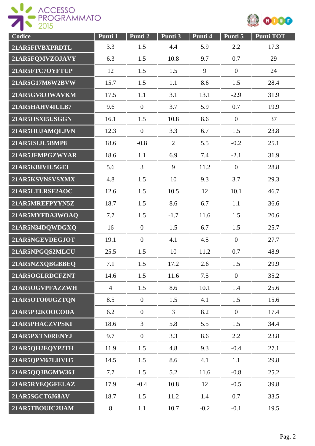



| Codice          | Punti 1        | Punti 2          | Punti 3        | Punti 4 | Punti 5        | Punti TOT |
|-----------------|----------------|------------------|----------------|---------|----------------|-----------|
| 21AR5FIVBXPRDTL | 3.3            | 1.5              | 4.4            | 5.9     | 2.2            | 17.3      |
| 21AR5FQMVZOJAVY | 6.3            | 1.5              | 10.8           | 9.7     | 0.7            | 29        |
| 21AR5FTC7OYFTUP | 12             | 1.5              | 1.5            | 9       | $\overline{0}$ | 24        |
| 21AR5G17M6W2BVW | 15.7           | 1.5              | 1.1            | 8.6     | 1.5            | 28.4      |
| 21AR5GV8JJWAVKM | 17.5           | 1.1              | 3.1            | 13.1    | $-2.9$         | 31.9      |
| 21AR5HAHV4IULB7 | 9.6            | $\mathbf{0}$     | 3.7            | 5.9     | 0.7            | 19.9      |
| 21AR5HSXI5USGGN | 16.1           | 1.5              | 10.8           | 8.6     | $\overline{0}$ | 37        |
| 21AR5HUJAMQLJVN | 12.3           | $\overline{0}$   | 3.3            | 6.7     | 1.5            | 23.8      |
| 21AR5ISIJL5BMP8 | 18.6           | $-0.8$           | $\overline{2}$ | 5.5     | $-0.2$         | 25.1      |
| 21AR5JFMPGZWYAR | 18.6           | 1.1              | 6.9            | 7.4     | $-2.1$         | 31.9      |
| 21AR5KBIVIU5GEI | 5.6            | $\overline{3}$   | 9              | 11.2    | $\overline{0}$ | 28.8      |
| 21AR5KSVNSVSXMX | 4.8            | 1.5              | 10             | 9.3     | 3.7            | 29.3      |
| 21AR5LTLRSF2AOC | 12.6           | 1.5              | 10.5           | 12      | 10.1           | 46.7      |
| 21AR5MREFPYYN5Z | 18.7           | 1.5              | 8.6            | 6.7     | 1.1            | 36.6      |
| 21AR5MYFDA3WOAQ | 7.7            | 1.5              | $-1.7$         | 11.6    | 1.5            | 20.6      |
| 21AR5N34DQWDGXQ | 16             | $\mathbf{0}$     | 1.5            | 6.7     | 1.5            | 25.7      |
| 21AR5NGEVDEGJOT | 19.1           | $\boldsymbol{0}$ | 4.1            | 4.5     | $\overline{0}$ | 27.7      |
| 21AR5NPGQS2MLCU | 25.5           | 1.5              | 10             | 11.2    | 0.7            | 48.9      |
| 21AR5NZXQBGBBEQ | 7.1            | 1.5              | 17.2           | 2.6     | 1.5            | 29.9      |
| 21AR5OGLRDCFZNT | 14.6           | 1.5              | 11.6           | 7.5     | $\overline{0}$ | 35.2      |
| 21AR5OGVPFAZZWH | $\overline{4}$ | 1.5              | 8.6            | 10.1    | 1.4            | 25.6      |
| 21AR5OTO0UGZTQN | 8.5            | $\overline{0}$   | 1.5            | 4.1     | 1.5            | 15.6      |
| 21AR5P32KOOCODA | 6.2            | $\boldsymbol{0}$ | $\overline{3}$ | 8.2     | $\overline{0}$ | 17.4      |
| 21AR5PHACZVPSKI | 18.6           | $\overline{3}$   | 5.8            | 5.5     | 1.5            | 34.4      |
| 21AR5PXTN0RENYJ | 9.7            | $\overline{0}$   | 3.3            | 8.6     | 2.2            | 23.8      |
| 21AR5QH2EQYP2TH | 11.9           | 1.5              | 4.8            | 9.3     | $-0.4$         | 27.1      |
| 21AR5QPM67LHVH5 | 14.5           | 1.5              | 8.6            | 4.1     | 1.1            | 29.8      |
| 21AR5QQ3BGMW36J | 7.7            | 1.5              | 5.2            | 11.6    | $-0.8$         | 25.2      |
| 21AR5RYEQGFELAZ | 17.9           | $-0.4$           | 10.8           | 12      | $-0.5$         | 39.8      |
| 21AR5SGCT6J68AV | 18.7           | 1.5              | 11.2           | 1.4     | 0.7            | 33.5      |
| 21AR5TBOUIC2UAM | 8              | 1.1              | 10.7           | $-0.2$  | $-0.1$         | 19.5      |